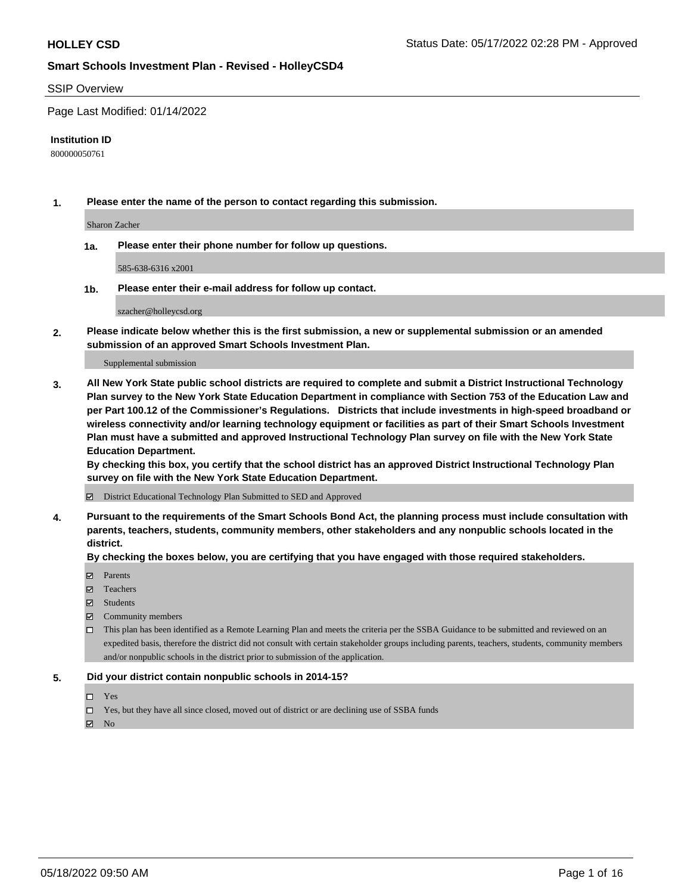#### SSIP Overview

Page Last Modified: 01/14/2022

#### **Institution ID**

800000050761

**1. Please enter the name of the person to contact regarding this submission.**

Sharon Zacher

**1a. Please enter their phone number for follow up questions.**

585-638-6316 x2001

**1b. Please enter their e-mail address for follow up contact.**

szacher@holleycsd.org

**2. Please indicate below whether this is the first submission, a new or supplemental submission or an amended submission of an approved Smart Schools Investment Plan.**

Supplemental submission

**3. All New York State public school districts are required to complete and submit a District Instructional Technology Plan survey to the New York State Education Department in compliance with Section 753 of the Education Law and per Part 100.12 of the Commissioner's Regulations. Districts that include investments in high-speed broadband or wireless connectivity and/or learning technology equipment or facilities as part of their Smart Schools Investment Plan must have a submitted and approved Instructional Technology Plan survey on file with the New York State Education Department.** 

**By checking this box, you certify that the school district has an approved District Instructional Technology Plan survey on file with the New York State Education Department.**

District Educational Technology Plan Submitted to SED and Approved

**4. Pursuant to the requirements of the Smart Schools Bond Act, the planning process must include consultation with parents, teachers, students, community members, other stakeholders and any nonpublic schools located in the district.** 

**By checking the boxes below, you are certifying that you have engaged with those required stakeholders.**

- $\blacksquare$  Parents
- Teachers
- Students
- $\Xi$  Community members
- This plan has been identified as a Remote Learning Plan and meets the criteria per the SSBA Guidance to be submitted and reviewed on an expedited basis, therefore the district did not consult with certain stakeholder groups including parents, teachers, students, community members and/or nonpublic schools in the district prior to submission of the application.

#### **5. Did your district contain nonpublic schools in 2014-15?**

- Yes
- $\Box$  Yes, but they have all since closed, moved out of district or are declining use of SSBA funds

 $\boxtimes$  No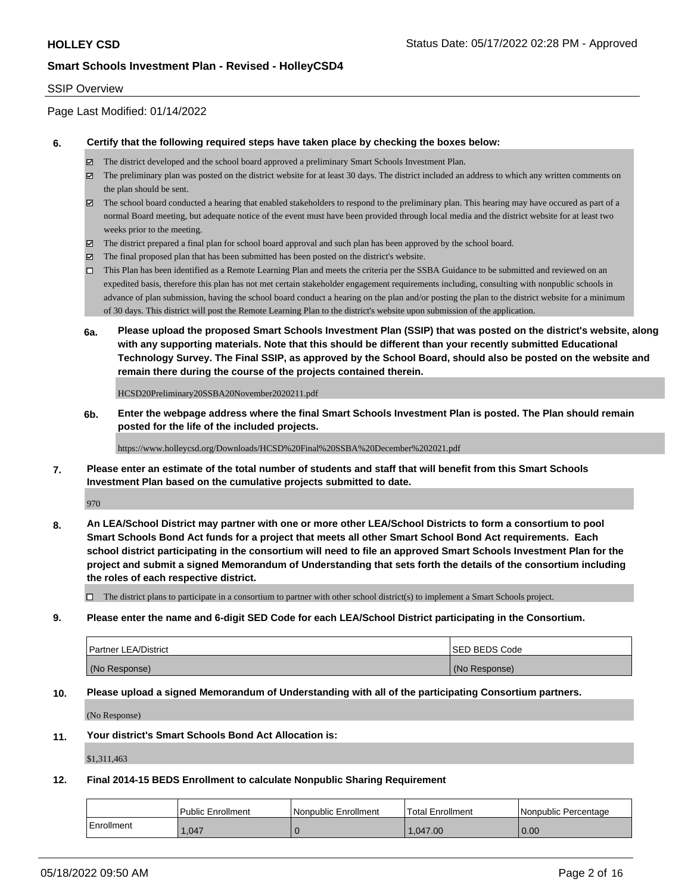## SSIP Overview

Page Last Modified: 01/14/2022

### **6. Certify that the following required steps have taken place by checking the boxes below:**

- The district developed and the school board approved a preliminary Smart Schools Investment Plan.
- $\boxtimes$  The preliminary plan was posted on the district website for at least 30 days. The district included an address to which any written comments on the plan should be sent.
- $\boxtimes$  The school board conducted a hearing that enabled stakeholders to respond to the preliminary plan. This hearing may have occured as part of a normal Board meeting, but adequate notice of the event must have been provided through local media and the district website for at least two weeks prior to the meeting.
- The district prepared a final plan for school board approval and such plan has been approved by the school board.
- $\boxtimes$  The final proposed plan that has been submitted has been posted on the district's website.
- This Plan has been identified as a Remote Learning Plan and meets the criteria per the SSBA Guidance to be submitted and reviewed on an expedited basis, therefore this plan has not met certain stakeholder engagement requirements including, consulting with nonpublic schools in advance of plan submission, having the school board conduct a hearing on the plan and/or posting the plan to the district website for a minimum of 30 days. This district will post the Remote Learning Plan to the district's website upon submission of the application.
- **6a. Please upload the proposed Smart Schools Investment Plan (SSIP) that was posted on the district's website, along with any supporting materials. Note that this should be different than your recently submitted Educational Technology Survey. The Final SSIP, as approved by the School Board, should also be posted on the website and remain there during the course of the projects contained therein.**

HCSD20Preliminary20SSBA20November2020211.pdf

**6b. Enter the webpage address where the final Smart Schools Investment Plan is posted. The Plan should remain posted for the life of the included projects.**

https://www.holleycsd.org/Downloads/HCSD%20Final%20SSBA%20December%202021.pdf

**7. Please enter an estimate of the total number of students and staff that will benefit from this Smart Schools Investment Plan based on the cumulative projects submitted to date.**

970

**8. An LEA/School District may partner with one or more other LEA/School Districts to form a consortium to pool Smart Schools Bond Act funds for a project that meets all other Smart School Bond Act requirements. Each school district participating in the consortium will need to file an approved Smart Schools Investment Plan for the project and submit a signed Memorandum of Understanding that sets forth the details of the consortium including the roles of each respective district.**

 $\Box$  The district plans to participate in a consortium to partner with other school district(s) to implement a Smart Schools project.

**9. Please enter the name and 6-digit SED Code for each LEA/School District participating in the Consortium.**

| <b>Partner LEA/District</b> | <b>ISED BEDS Code</b> |
|-----------------------------|-----------------------|
| (No Response)               | (No Response)         |

#### **10. Please upload a signed Memorandum of Understanding with all of the participating Consortium partners.**

(No Response)

## **11. Your district's Smart Schools Bond Act Allocation is:**

\$1,311,463

## **12. Final 2014-15 BEDS Enrollment to calculate Nonpublic Sharing Requirement**

|            | <b>Public Enrollment</b> | Nonpublic Enrollment | <b>Total Enrollment</b> | l Nonpublic Percentage |
|------------|--------------------------|----------------------|-------------------------|------------------------|
| Enrollment | .047                     |                      | 1.047.00                | 0.00                   |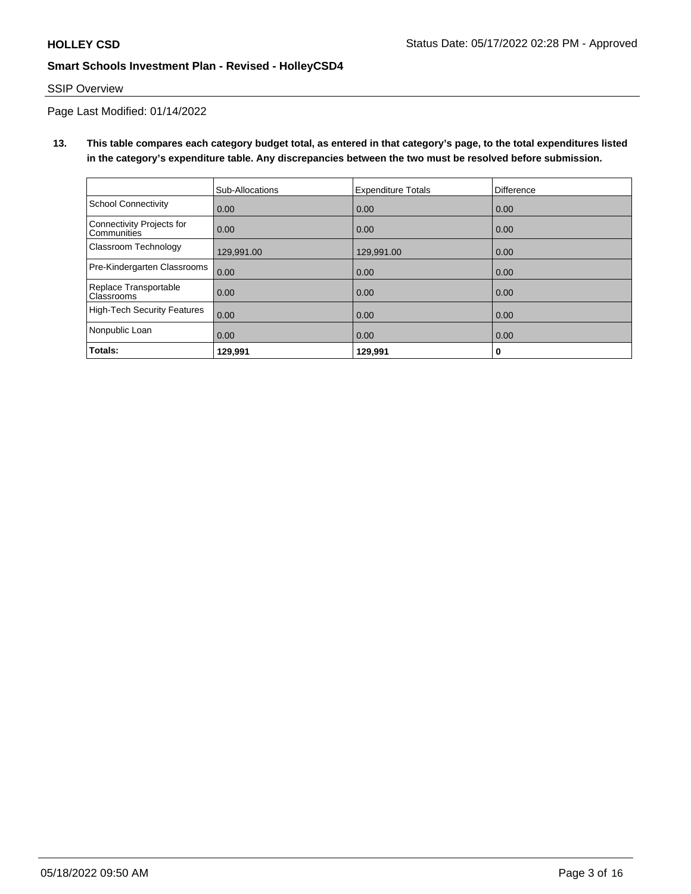# SSIP Overview

Page Last Modified: 01/14/2022

**13. This table compares each category budget total, as entered in that category's page, to the total expenditures listed in the category's expenditure table. Any discrepancies between the two must be resolved before submission.**

|                                            | Sub-Allocations | <b>Expenditure Totals</b> | <b>Difference</b> |
|--------------------------------------------|-----------------|---------------------------|-------------------|
| <b>School Connectivity</b>                 | 0.00            | 0.00                      | 0.00              |
| Connectivity Projects for<br>Communities   | 0.00            | 0.00                      | 0.00              |
| Classroom Technology                       | 129,991.00      | 129,991.00                | 0.00              |
| Pre-Kindergarten Classrooms                | 0.00            | 0.00                      | 0.00              |
| Replace Transportable<br><b>Classrooms</b> | 0.00            | 0.00                      | 0.00              |
| <b>High-Tech Security Features</b>         | 0.00            | 0.00                      | 0.00              |
| Nonpublic Loan                             | 0.00            | 0.00                      | 0.00              |
| Totals:                                    | 129,991         | 129,991                   | 0                 |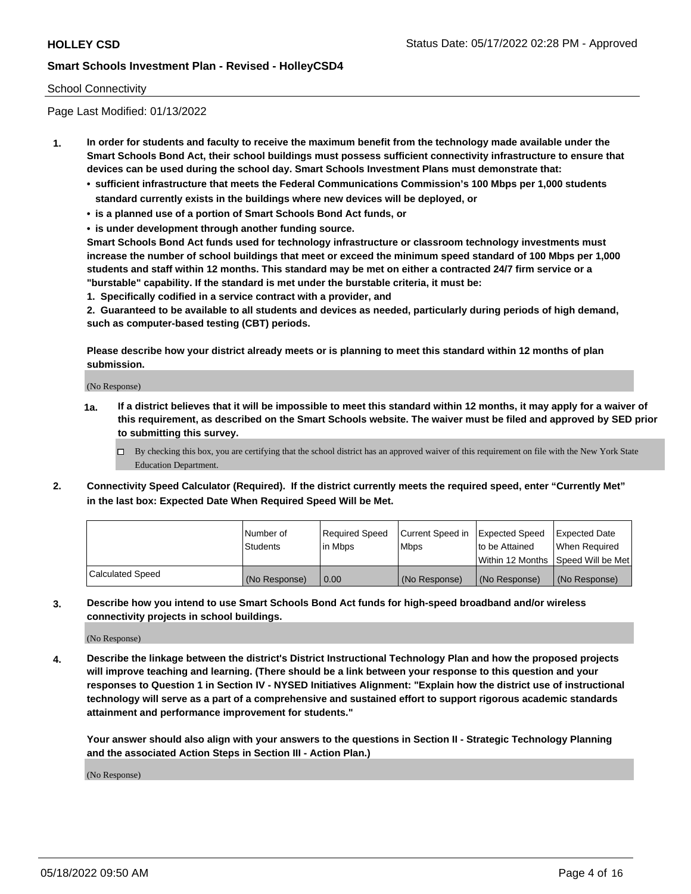## School Connectivity

Page Last Modified: 01/13/2022

- **1. In order for students and faculty to receive the maximum benefit from the technology made available under the Smart Schools Bond Act, their school buildings must possess sufficient connectivity infrastructure to ensure that devices can be used during the school day. Smart Schools Investment Plans must demonstrate that:**
	- **• sufficient infrastructure that meets the Federal Communications Commission's 100 Mbps per 1,000 students standard currently exists in the buildings where new devices will be deployed, or**
	- **• is a planned use of a portion of Smart Schools Bond Act funds, or**
	- **• is under development through another funding source.**

**Smart Schools Bond Act funds used for technology infrastructure or classroom technology investments must increase the number of school buildings that meet or exceed the minimum speed standard of 100 Mbps per 1,000 students and staff within 12 months. This standard may be met on either a contracted 24/7 firm service or a "burstable" capability. If the standard is met under the burstable criteria, it must be:**

**1. Specifically codified in a service contract with a provider, and**

**2. Guaranteed to be available to all students and devices as needed, particularly during periods of high demand, such as computer-based testing (CBT) periods.**

**Please describe how your district already meets or is planning to meet this standard within 12 months of plan submission.**

(No Response)

- **1a. If a district believes that it will be impossible to meet this standard within 12 months, it may apply for a waiver of this requirement, as described on the Smart Schools website. The waiver must be filed and approved by SED prior to submitting this survey.**
	- By checking this box, you are certifying that the school district has an approved waiver of this requirement on file with the New York State Education Department.
- **2. Connectivity Speed Calculator (Required). If the district currently meets the required speed, enter "Currently Met" in the last box: Expected Date When Required Speed Will be Met.**

|                  | l Number of     | Required Speed | Current Speed in Expected Speed |                                    | Expected Date |
|------------------|-----------------|----------------|---------------------------------|------------------------------------|---------------|
|                  | <b>Students</b> | l in Mbps      | <b>Mbps</b>                     | to be Attained                     | When Reauired |
|                  |                 |                |                                 | Within 12 Months Speed Will be Met |               |
| Calculated Speed | (No Response)   | 0.00           | (No Response)                   | (No Response)                      | (No Response) |

**3. Describe how you intend to use Smart Schools Bond Act funds for high-speed broadband and/or wireless connectivity projects in school buildings.**

(No Response)

**4. Describe the linkage between the district's District Instructional Technology Plan and how the proposed projects will improve teaching and learning. (There should be a link between your response to this question and your responses to Question 1 in Section IV - NYSED Initiatives Alignment: "Explain how the district use of instructional technology will serve as a part of a comprehensive and sustained effort to support rigorous academic standards attainment and performance improvement for students."** 

**Your answer should also align with your answers to the questions in Section II - Strategic Technology Planning and the associated Action Steps in Section III - Action Plan.)**

(No Response)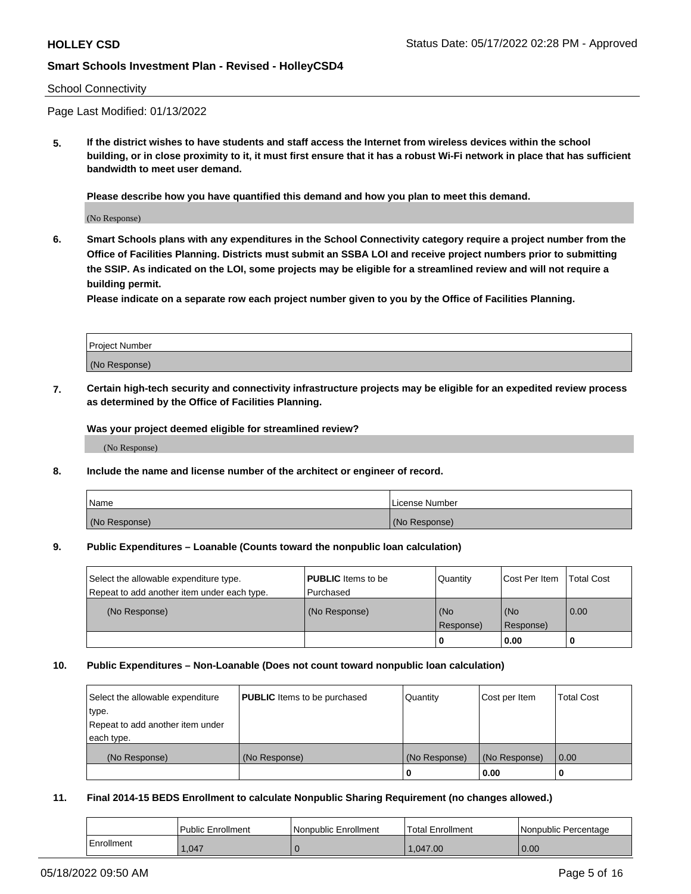#### School Connectivity

Page Last Modified: 01/13/2022

**5. If the district wishes to have students and staff access the Internet from wireless devices within the school building, or in close proximity to it, it must first ensure that it has a robust Wi-Fi network in place that has sufficient bandwidth to meet user demand.**

**Please describe how you have quantified this demand and how you plan to meet this demand.**

(No Response)

**6. Smart Schools plans with any expenditures in the School Connectivity category require a project number from the Office of Facilities Planning. Districts must submit an SSBA LOI and receive project numbers prior to submitting the SSIP. As indicated on the LOI, some projects may be eligible for a streamlined review and will not require a building permit.**

**Please indicate on a separate row each project number given to you by the Office of Facilities Planning.**

| Project Number   |  |
|------------------|--|
| (No<br>Response) |  |

**7. Certain high-tech security and connectivity infrastructure projects may be eligible for an expedited review process as determined by the Office of Facilities Planning.**

**Was your project deemed eligible for streamlined review?**

(No Response)

#### **8. Include the name and license number of the architect or engineer of record.**

| Name          | I License Number |
|---------------|------------------|
| (No Response) | (No Response)    |

#### **9. Public Expenditures – Loanable (Counts toward the nonpublic loan calculation)**

| Select the allowable expenditure type.<br>Repeat to add another item under each type. | <b>PUBLIC</b> Items to be<br>l Purchased | Quantity         | Cost Per Item    | <b>Total Cost</b> |
|---------------------------------------------------------------------------------------|------------------------------------------|------------------|------------------|-------------------|
| (No Response)                                                                         | (No Response)                            | (No<br>Response) | (No<br>Response) | $\overline{0.00}$ |
|                                                                                       |                                          | -0               | 0.00             |                   |

## **10. Public Expenditures – Non-Loanable (Does not count toward nonpublic loan calculation)**

| Select the allowable expenditure | <b>PUBLIC</b> Items to be purchased | Quantity      | Cost per Item | <b>Total Cost</b> |
|----------------------------------|-------------------------------------|---------------|---------------|-------------------|
| type.                            |                                     |               |               |                   |
| Repeat to add another item under |                                     |               |               |                   |
| each type.                       |                                     |               |               |                   |
| (No Response)                    | (No Response)                       | (No Response) | (No Response) | 0.00              |
|                                  |                                     | U             | 0.00          |                   |

#### **11. Final 2014-15 BEDS Enrollment to calculate Nonpublic Sharing Requirement (no changes allowed.)**

|            | <b>Public Enrollment</b> | Nonpublic Enrollment | <b>Total Enrollment</b> | l Nonpublic Percentage |
|------------|--------------------------|----------------------|-------------------------|------------------------|
| Enrollment | 1.047                    |                      | 1.047.00                | 0.00                   |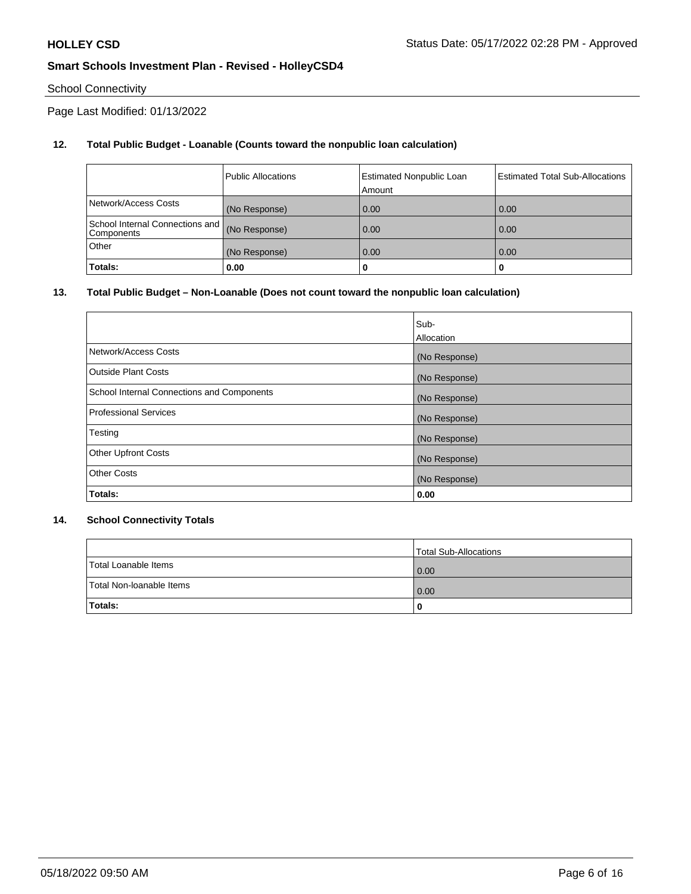# School Connectivity

Page Last Modified: 01/13/2022

## **12. Total Public Budget - Loanable (Counts toward the nonpublic loan calculation)**

|                                                 | <b>Public Allocations</b> | <b>Estimated Nonpublic Loan</b><br>Amount | <b>Estimated Total Sub-Allocations</b> |
|-------------------------------------------------|---------------------------|-------------------------------------------|----------------------------------------|
| Network/Access Costs                            | (No Response)             | 0.00                                      | 0.00                                   |
| School Internal Connections and  <br>Components | (No Response)             | 0.00                                      | 0.00                                   |
| Other                                           | (No Response)             | 0.00                                      | 0.00                                   |
| Totals:                                         | 0.00                      |                                           | 0                                      |

## **13. Total Public Budget – Non-Loanable (Does not count toward the nonpublic loan calculation)**

|                                            | Sub-          |
|--------------------------------------------|---------------|
|                                            | Allocation    |
| Network/Access Costs                       | (No Response) |
| <b>Outside Plant Costs</b>                 | (No Response) |
| School Internal Connections and Components | (No Response) |
| Professional Services                      | (No Response) |
| Testing                                    | (No Response) |
| <b>Other Upfront Costs</b>                 | (No Response) |
| <b>Other Costs</b>                         | (No Response) |
| Totals:                                    | 0.00          |

## **14. School Connectivity Totals**

|                          | Total Sub-Allocations |
|--------------------------|-----------------------|
| Total Loanable Items     | 0.00                  |
| Total Non-Ioanable Items | 0.00                  |
| Totals:                  | 0                     |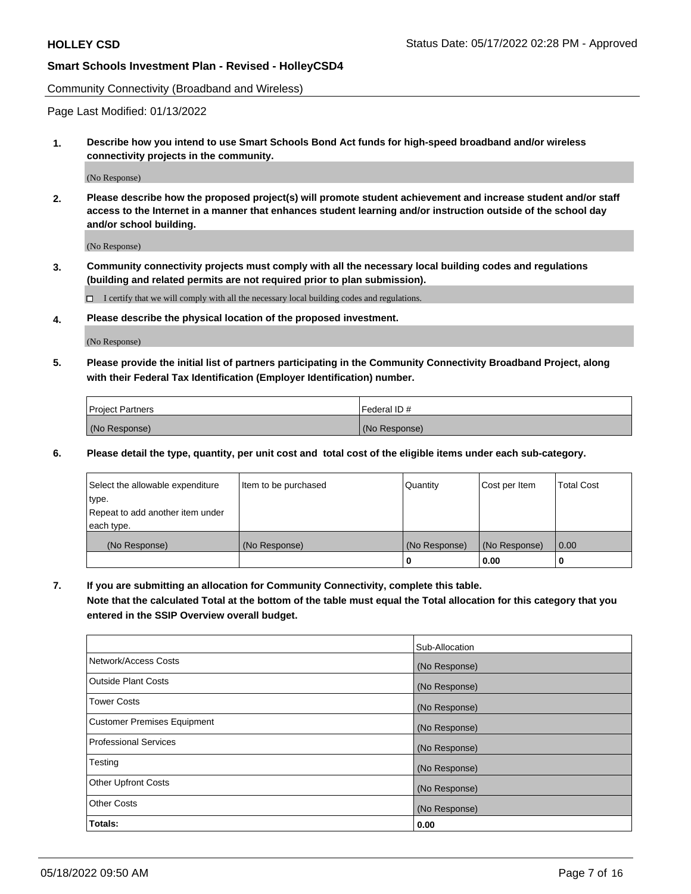Community Connectivity (Broadband and Wireless)

Page Last Modified: 01/13/2022

**1. Describe how you intend to use Smart Schools Bond Act funds for high-speed broadband and/or wireless connectivity projects in the community.**

(No Response)

**2. Please describe how the proposed project(s) will promote student achievement and increase student and/or staff access to the Internet in a manner that enhances student learning and/or instruction outside of the school day and/or school building.**

(No Response)

**3. Community connectivity projects must comply with all the necessary local building codes and regulations (building and related permits are not required prior to plan submission).**

 $\Box$  I certify that we will comply with all the necessary local building codes and regulations.

**4. Please describe the physical location of the proposed investment.**

(No Response)

**5. Please provide the initial list of partners participating in the Community Connectivity Broadband Project, along with their Federal Tax Identification (Employer Identification) number.**

| <b>Project Partners</b> | Federal ID#   |
|-------------------------|---------------|
| (No Response)           | (No Response) |

**6. Please detail the type, quantity, per unit cost and total cost of the eligible items under each sub-category.**

| Select the allowable expenditure          | Item to be purchased | Quantity      | Cost per Item | <b>Total Cost</b> |
|-------------------------------------------|----------------------|---------------|---------------|-------------------|
| type.<br>Repeat to add another item under |                      |               |               |                   |
| each type.                                |                      |               |               |                   |
| (No Response)                             | (No Response)        | (No Response) | (No Response) | 0.00              |
|                                           |                      | 0             | 0.00          |                   |

**7. If you are submitting an allocation for Community Connectivity, complete this table.**

**Note that the calculated Total at the bottom of the table must equal the Total allocation for this category that you entered in the SSIP Overview overall budget.**

|                              | Sub-Allocation |
|------------------------------|----------------|
| Network/Access Costs         | (No Response)  |
| <b>Outside Plant Costs</b>   | (No Response)  |
| Tower Costs                  | (No Response)  |
| Customer Premises Equipment  | (No Response)  |
| <b>Professional Services</b> | (No Response)  |
| Testing                      | (No Response)  |
| <b>Other Upfront Costs</b>   | (No Response)  |
| <b>Other Costs</b>           | (No Response)  |
| Totals:                      | 0.00           |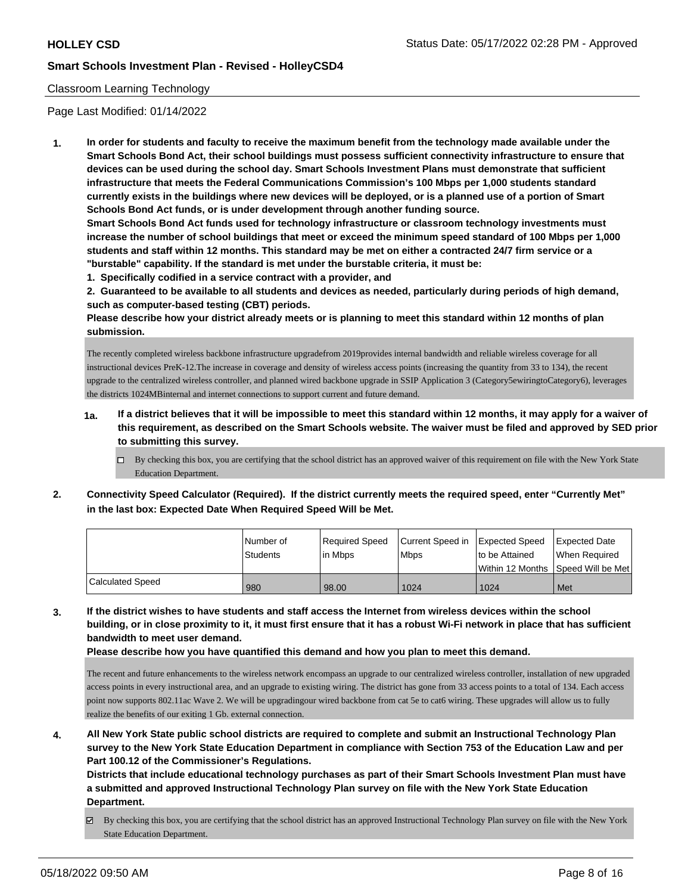## Classroom Learning Technology

Page Last Modified: 01/14/2022

**1. In order for students and faculty to receive the maximum benefit from the technology made available under the Smart Schools Bond Act, their school buildings must possess sufficient connectivity infrastructure to ensure that devices can be used during the school day. Smart Schools Investment Plans must demonstrate that sufficient infrastructure that meets the Federal Communications Commission's 100 Mbps per 1,000 students standard currently exists in the buildings where new devices will be deployed, or is a planned use of a portion of Smart Schools Bond Act funds, or is under development through another funding source.**

**Smart Schools Bond Act funds used for technology infrastructure or classroom technology investments must increase the number of school buildings that meet or exceed the minimum speed standard of 100 Mbps per 1,000 students and staff within 12 months. This standard may be met on either a contracted 24/7 firm service or a "burstable" capability. If the standard is met under the burstable criteria, it must be:**

**1. Specifically codified in a service contract with a provider, and**

**2. Guaranteed to be available to all students and devices as needed, particularly during periods of high demand, such as computer-based testing (CBT) periods.**

**Please describe how your district already meets or is planning to meet this standard within 12 months of plan submission.**

The recently completed wireless backbone infrastructure upgradefrom 2019provides internal bandwidth and reliable wireless coverage for all instructional devices PreK-12.The increase in coverage and density of wireless access points (increasing the quantity from 33 to 134), the recent upgrade to the centralized wireless controller, and planned wired backbone upgrade in SSIP Application 3 (Category5ewiringtoCategory6), leverages the districts 1024MBinternal and internet connections to support current and future demand.

- **1a. If a district believes that it will be impossible to meet this standard within 12 months, it may apply for a waiver of this requirement, as described on the Smart Schools website. The waiver must be filed and approved by SED prior to submitting this survey.**
	- By checking this box, you are certifying that the school district has an approved waiver of this requirement on file with the New York State Education Department.
- **2. Connectivity Speed Calculator (Required). If the district currently meets the required speed, enter "Currently Met" in the last box: Expected Date When Required Speed Will be Met.**

|                  | Number of | Required Speed | Current Speed in Expected Speed | to be Attained                      | Expected Date |
|------------------|-----------|----------------|---------------------------------|-------------------------------------|---------------|
|                  | Students  | l in Mbps      | <b>Mbps</b>                     | Within 12 Months 1Speed Will be Met | When Required |
| Calculated Speed | 980       | 98.00          | 1024                            | 1024                                | Met           |

**3. If the district wishes to have students and staff access the Internet from wireless devices within the school building, or in close proximity to it, it must first ensure that it has a robust Wi-Fi network in place that has sufficient bandwidth to meet user demand.**

**Please describe how you have quantified this demand and how you plan to meet this demand.**

The recent and future enhancements to the wireless network encompass an upgrade to our centralized wireless controller, installation of new upgraded access points in every instructional area, and an upgrade to existing wiring. The district has gone from 33 access points to a total of 134. Each access point now supports 802.11ac Wave 2. We will be upgradingour wired backbone from cat 5e to cat6 wiring. These upgrades will allow us to fully realize the benefits of our exiting 1 Gb. external connection.

**4. All New York State public school districts are required to complete and submit an Instructional Technology Plan survey to the New York State Education Department in compliance with Section 753 of the Education Law and per Part 100.12 of the Commissioner's Regulations.**

**Districts that include educational technology purchases as part of their Smart Schools Investment Plan must have a submitted and approved Instructional Technology Plan survey on file with the New York State Education Department.**

By checking this box, you are certifying that the school district has an approved Instructional Technology Plan survey on file with the New York State Education Department.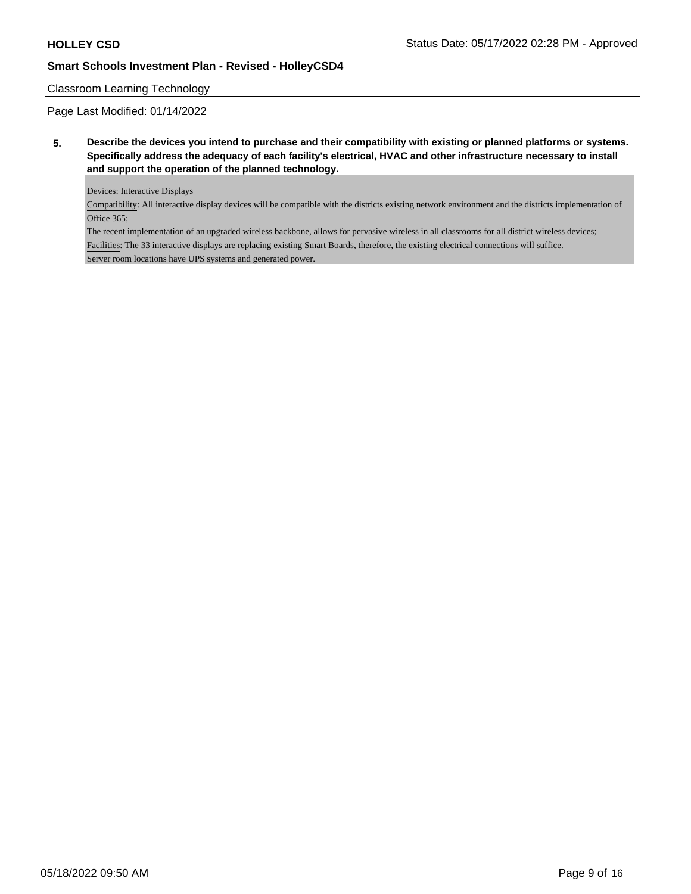## Classroom Learning Technology

Page Last Modified: 01/14/2022

**5. Describe the devices you intend to purchase and their compatibility with existing or planned platforms or systems. Specifically address the adequacy of each facility's electrical, HVAC and other infrastructure necessary to install and support the operation of the planned technology.**

#### Devices: Interactive Displays

Compatibility: All interactive display devices will be compatible with the districts existing network environment and the districts implementation of Office 365;

The recent implementation of an upgraded wireless backbone, allows for pervasive wireless in all classrooms for all district wireless devices; Facilities: The 33 interactive displays are replacing existing Smart Boards, therefore, the existing electrical connections will suffice. Server room locations have UPS systems and generated power.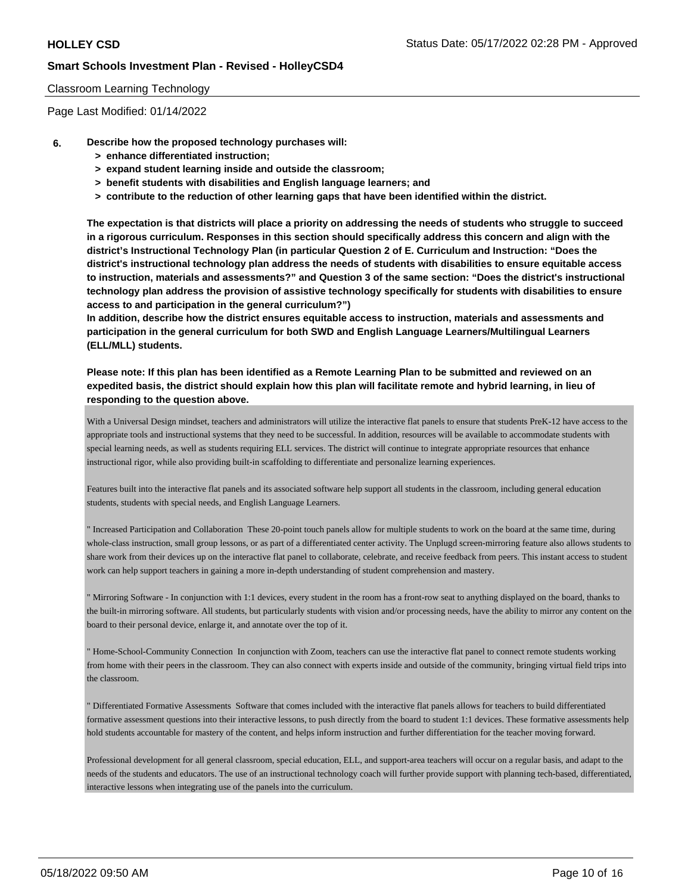#### Classroom Learning Technology

Page Last Modified: 01/14/2022

#### **6. Describe how the proposed technology purchases will:**

- **> enhance differentiated instruction;**
- **> expand student learning inside and outside the classroom;**
- **> benefit students with disabilities and English language learners; and**
- **> contribute to the reduction of other learning gaps that have been identified within the district.**

**The expectation is that districts will place a priority on addressing the needs of students who struggle to succeed in a rigorous curriculum. Responses in this section should specifically address this concern and align with the district's Instructional Technology Plan (in particular Question 2 of E. Curriculum and Instruction: "Does the district's instructional technology plan address the needs of students with disabilities to ensure equitable access to instruction, materials and assessments?" and Question 3 of the same section: "Does the district's instructional technology plan address the provision of assistive technology specifically for students with disabilities to ensure access to and participation in the general curriculum?")**

**In addition, describe how the district ensures equitable access to instruction, materials and assessments and participation in the general curriculum for both SWD and English Language Learners/Multilingual Learners (ELL/MLL) students.**

**Please note: If this plan has been identified as a Remote Learning Plan to be submitted and reviewed on an expedited basis, the district should explain how this plan will facilitate remote and hybrid learning, in lieu of responding to the question above.**

With a Universal Design mindset, teachers and administrators will utilize the interactive flat panels to ensure that students PreK-12 have access to the appropriate tools and instructional systems that they need to be successful. In addition, resources will be available to accommodate students with special learning needs, as well as students requiring ELL services. The district will continue to integrate appropriate resources that enhance instructional rigor, while also providing built-in scaffolding to differentiate and personalize learning experiences.

Features built into the interactive flat panels and its associated software help support all students in the classroom, including general education students, students with special needs, and English Language Learners.

" Increased Participation and Collaboration These 20-point touch panels allow for multiple students to work on the board at the same time, during whole-class instruction, small group lessons, or as part of a differentiated center activity. The Unplug d screen-mirroring feature also allows students to share work from their devices up on the interactive flat panel to collaborate, celebrate, and receive feedback from peers. This instant access to student work can help support teachers in gaining a more in-depth understanding of student comprehension and mastery.

" Mirroring Software - In conjunction with 1:1 devices, every student in the room has a front-row seat to anything displayed on the board, thanks to the built-in mirroring software. All students, but particularly students with vision and/or processing needs, have the ability to mirror any content on the board to their personal device, enlarge it, and annotate over the top of it.

" Home-School-Community Connection In conjunction with Zoom, teachers can use the interactive flat panel to connect remote students working from home with their peers in the classroom. They can also connect with experts inside and outside of the community, bringing virtual field trips into the classroom.

" Differentiated Formative Assessments Software that comes included with the interactive flat panels allows for teachers to build differentiated formative assessment questions into their interactive lessons, to push directly from the board to student 1:1 devices. These formative assessments help hold students accountable for mastery of the content, and helps inform instruction and further differentiation for the teacher moving forward.

Professional development for all general classroom, special education, ELL, and support-area teachers will occur on a regular basis, and adapt to the needs of the students and educators. The use of an instructional technology coach will further provide support with planning tech-based, differentiated, interactive lessons when integrating use of the panels into the curriculum.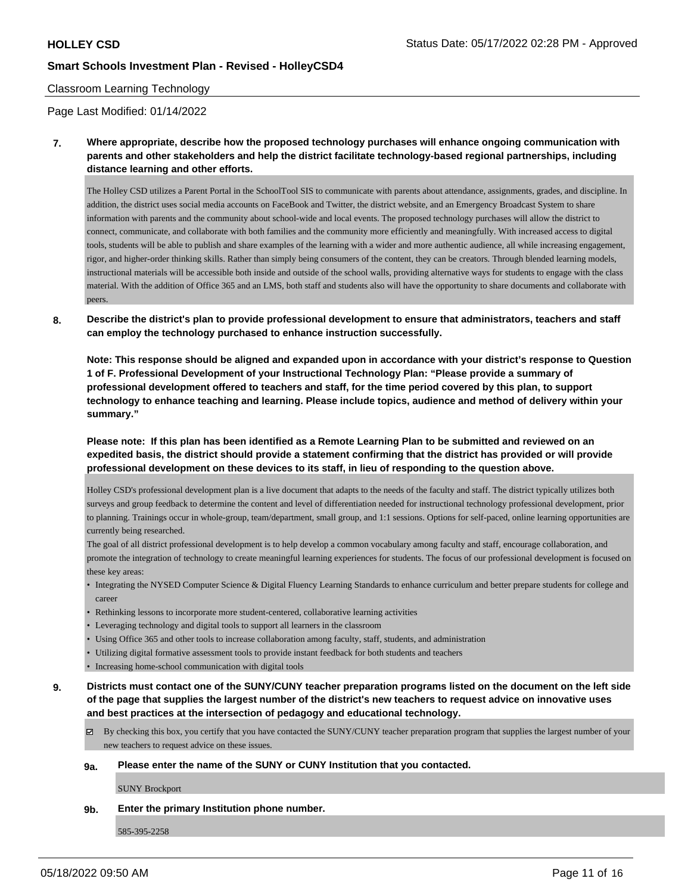## Classroom Learning Technology

Page Last Modified: 01/14/2022

**7. Where appropriate, describe how the proposed technology purchases will enhance ongoing communication with parents and other stakeholders and help the district facilitate technology-based regional partnerships, including distance learning and other efforts.**

The Holley CSD utilizes a Parent Portal in the SchoolTool SIS to communicate with parents about attendance, assignments, grades, and discipline. In addition, the district uses social media accounts on FaceBook and Twitter, the district website, and an Emergency Broadcast System to share information with parents and the community about school-wide and local events. The proposed technology purchases will allow the district to connect, communicate, and collaborate with both families and the community more efficiently and meaningfully. With increased access to digital tools, students will be able to publish and share examples of the learning with a wider and more authentic audience, all while increasing engagement, rigor, and higher-order thinking skills. Rather than simply being consumers of the content, they can be creators. Through blended learning models, instructional materials will be accessible both inside and outside of the school walls, providing alternative ways for students to engage with the class material. With the addition of Office 365 and an LMS, both staff and students also will have the opportunity to share documents and collaborate with peers.

**8. Describe the district's plan to provide professional development to ensure that administrators, teachers and staff can employ the technology purchased to enhance instruction successfully.**

**Note: This response should be aligned and expanded upon in accordance with your district's response to Question 1 of F. Professional Development of your Instructional Technology Plan: "Please provide a summary of professional development offered to teachers and staff, for the time period covered by this plan, to support technology to enhance teaching and learning. Please include topics, audience and method of delivery within your summary."**

**Please note: If this plan has been identified as a Remote Learning Plan to be submitted and reviewed on an expedited basis, the district should provide a statement confirming that the district has provided or will provide professional development on these devices to its staff, in lieu of responding to the question above.**

Holley CSD's professional development plan is a live document that adapts to the needs of the faculty and staff. The district typically utilizes both surveys and group feedback to determine the content and level of differentiation needed for instructional technology professional development, prior to planning. Trainings occur in whole-group, team/department, small group, and 1:1 sessions. Options for self-paced, online learning opportunities are currently being researched.

The goal of all district professional development is to help develop a common vocabulary among faculty and staff, encourage collaboration, and promote the integration of technology to create meaningful learning experiences for students. The focus of our professional development is focused on these key areas:

- Integrating the NYSED Computer Science & Digital Fluency Learning Standards to enhance curriculum and better prepare students for college and career
- Rethinking lessons to incorporate more student-centered, collaborative learning activities
- Leveraging technology and digital tools to support all learners in the classroom
- Using Office 365 and other tools to increase collaboration among faculty, staff, students, and administration
- Utilizing digital formative assessment tools to provide instant feedback for both students and teachers
- Increasing home-school communication with digital tools
- **9. Districts must contact one of the SUNY/CUNY teacher preparation programs listed on the document on the left side of the page that supplies the largest number of the district's new teachers to request advice on innovative uses and best practices at the intersection of pedagogy and educational technology.**
	- By checking this box, you certify that you have contacted the SUNY/CUNY teacher preparation program that supplies the largest number of your new teachers to request advice on these issues.

#### **9a. Please enter the name of the SUNY or CUNY Institution that you contacted.**

SUNY Brockport

**9b. Enter the primary Institution phone number.**

585-395-2258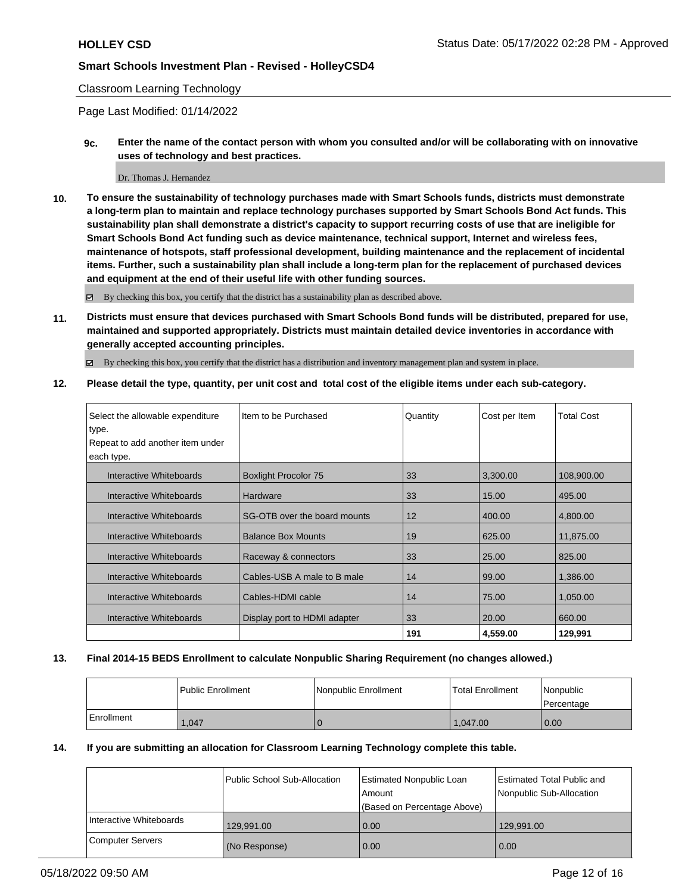## Classroom Learning Technology

Page Last Modified: 01/14/2022

**9c. Enter the name of the contact person with whom you consulted and/or will be collaborating with on innovative uses of technology and best practices.**

#### Dr. Thomas J. Hernandez

**10. To ensure the sustainability of technology purchases made with Smart Schools funds, districts must demonstrate a long-term plan to maintain and replace technology purchases supported by Smart Schools Bond Act funds. This sustainability plan shall demonstrate a district's capacity to support recurring costs of use that are ineligible for Smart Schools Bond Act funding such as device maintenance, technical support, Internet and wireless fees, maintenance of hotspots, staff professional development, building maintenance and the replacement of incidental items. Further, such a sustainability plan shall include a long-term plan for the replacement of purchased devices and equipment at the end of their useful life with other funding sources.**

By checking this box, you certify that the district has a sustainability plan as described above.

**11. Districts must ensure that devices purchased with Smart Schools Bond funds will be distributed, prepared for use, maintained and supported appropriately. Districts must maintain detailed device inventories in accordance with generally accepted accounting principles.**

By checking this box, you certify that the district has a distribution and inventory management plan and system in place.

**12. Please detail the type, quantity, per unit cost and total cost of the eligible items under each sub-category.**

| Select the allowable expenditure | I Item to be Purchased       | Quantity | Cost per Item | <b>Total Cost</b> |
|----------------------------------|------------------------------|----------|---------------|-------------------|
| type.                            |                              |          |               |                   |
| Repeat to add another item under |                              |          |               |                   |
| each type.                       |                              |          |               |                   |
| Interactive Whiteboards          | <b>Boxlight Procolor 75</b>  | 33       | 3,300.00      | 108,900.00        |
| Interactive Whiteboards          | Hardware                     | 33       | 15.00         | 495.00            |
| Interactive Whiteboards          | SG-OTB over the board mounts | 12       | 400.00        | 4,800.00          |
| Interactive Whiteboards          | <b>Balance Box Mounts</b>    | 19       | 625.00        | 11,875.00         |
| Interactive Whiteboards          | Raceway & connectors         | 33       | 25.00         | 825.00            |
| Interactive Whiteboards          | Cables-USB A male to B male  | 14       | 99.00         | 1,386.00          |
| Interactive Whiteboards          | Cables-HDMI cable            | 14       | 75.00         | 1,050.00          |
| Interactive Whiteboards          | Display port to HDMI adapter | 33       | 20.00         | 660.00            |
|                                  |                              | 191      | 4,559.00      | 129,991           |

## **13. Final 2014-15 BEDS Enrollment to calculate Nonpublic Sharing Requirement (no changes allowed.)**

|            | <b>Public Enrollment</b> | Nonpublic Enrollment | <b>Total Enrollment</b> | l Nonpublic<br>l Percentage |
|------------|--------------------------|----------------------|-------------------------|-----------------------------|
| Enrollment | 1,047                    |                      | 1.047.00                | 0.00                        |

#### **14. If you are submitting an allocation for Classroom Learning Technology complete this table.**

|                         | Public School Sub-Allocation | Estimated Nonpublic Loan<br>Amount | Estimated Total Public and<br>Nonpublic Sub-Allocation |
|-------------------------|------------------------------|------------------------------------|--------------------------------------------------------|
|                         |                              | (Based on Percentage Above)        |                                                        |
| Interactive Whiteboards | 129,991.00                   | 0.00                               | 129,991.00                                             |
| <b>Computer Servers</b> | (No Response)                | 0.00                               | 0.00                                                   |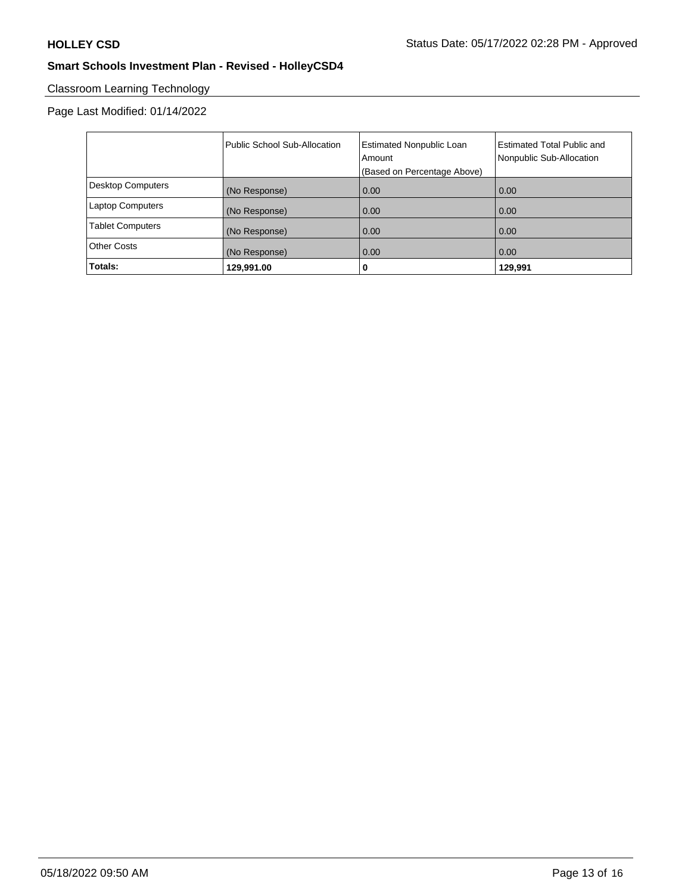# Classroom Learning Technology

# Page Last Modified: 01/14/2022

|                          | Public School Sub-Allocation | <b>Estimated Nonpublic Loan</b><br>Amount | <b>Estimated Total Public and</b><br>Nonpublic Sub-Allocation |
|--------------------------|------------------------------|-------------------------------------------|---------------------------------------------------------------|
|                          |                              | (Based on Percentage Above)               |                                                               |
| <b>Desktop Computers</b> | (No Response)                | 0.00                                      | 0.00                                                          |
| <b>Laptop Computers</b>  | (No Response)                | 0.00                                      | 0.00                                                          |
| <b>Tablet Computers</b>  | (No Response)                | 0.00                                      | 0.00                                                          |
| <b>Other Costs</b>       | (No Response)                | 0.00                                      | 0.00                                                          |
| Totals:                  | 129,991.00                   | 0                                         | 129,991                                                       |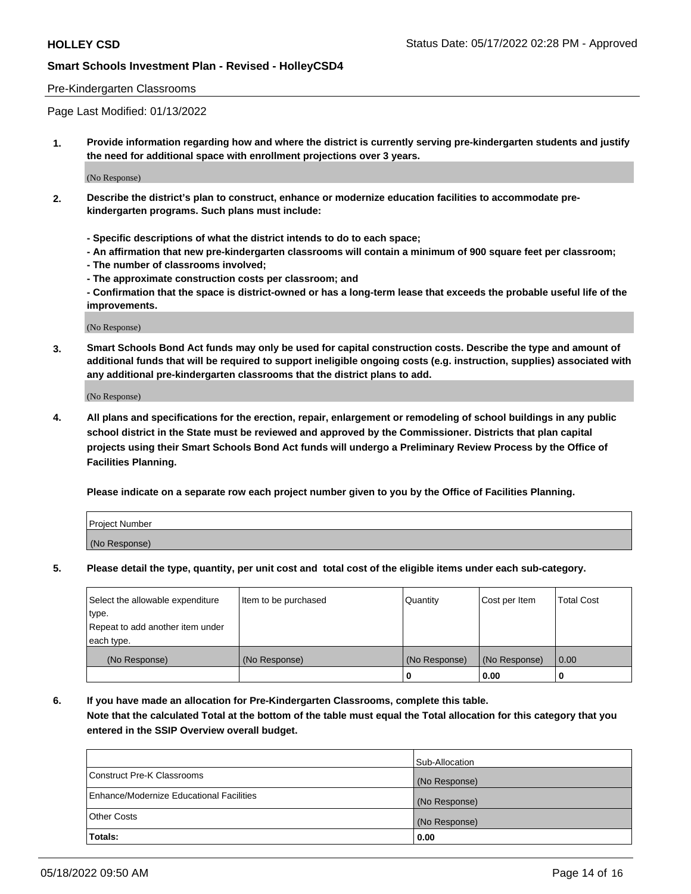#### Pre-Kindergarten Classrooms

Page Last Modified: 01/13/2022

**1. Provide information regarding how and where the district is currently serving pre-kindergarten students and justify the need for additional space with enrollment projections over 3 years.**

(No Response)

- **2. Describe the district's plan to construct, enhance or modernize education facilities to accommodate prekindergarten programs. Such plans must include:**
	- **Specific descriptions of what the district intends to do to each space;**
	- **An affirmation that new pre-kindergarten classrooms will contain a minimum of 900 square feet per classroom;**
	- **The number of classrooms involved;**
	- **The approximate construction costs per classroom; and**
	- **Confirmation that the space is district-owned or has a long-term lease that exceeds the probable useful life of the improvements.**

(No Response)

**3. Smart Schools Bond Act funds may only be used for capital construction costs. Describe the type and amount of additional funds that will be required to support ineligible ongoing costs (e.g. instruction, supplies) associated with any additional pre-kindergarten classrooms that the district plans to add.**

(No Response)

**4. All plans and specifications for the erection, repair, enlargement or remodeling of school buildings in any public school district in the State must be reviewed and approved by the Commissioner. Districts that plan capital projects using their Smart Schools Bond Act funds will undergo a Preliminary Review Process by the Office of Facilities Planning.**

**Please indicate on a separate row each project number given to you by the Office of Facilities Planning.**

| Project Number |  |
|----------------|--|
| (No Response)  |  |

**5. Please detail the type, quantity, per unit cost and total cost of the eligible items under each sub-category.**

| Select the allowable expenditure | Item to be purchased | Quantity      | Cost per Item | <b>Total Cost</b> |
|----------------------------------|----------------------|---------------|---------------|-------------------|
| type.                            |                      |               |               |                   |
| Repeat to add another item under |                      |               |               |                   |
| each type.                       |                      |               |               |                   |
| (No Response)                    | (No Response)        | (No Response) | (No Response) | 0.00              |
|                                  |                      | 0             | 0.00          |                   |

**6. If you have made an allocation for Pre-Kindergarten Classrooms, complete this table.**

**Note that the calculated Total at the bottom of the table must equal the Total allocation for this category that you entered in the SSIP Overview overall budget.**

|                                          | Sub-Allocation |
|------------------------------------------|----------------|
| Construct Pre-K Classrooms               | (No Response)  |
| Enhance/Modernize Educational Facilities | (No Response)  |
| <b>Other Costs</b>                       | (No Response)  |
| Totals:                                  | 0.00           |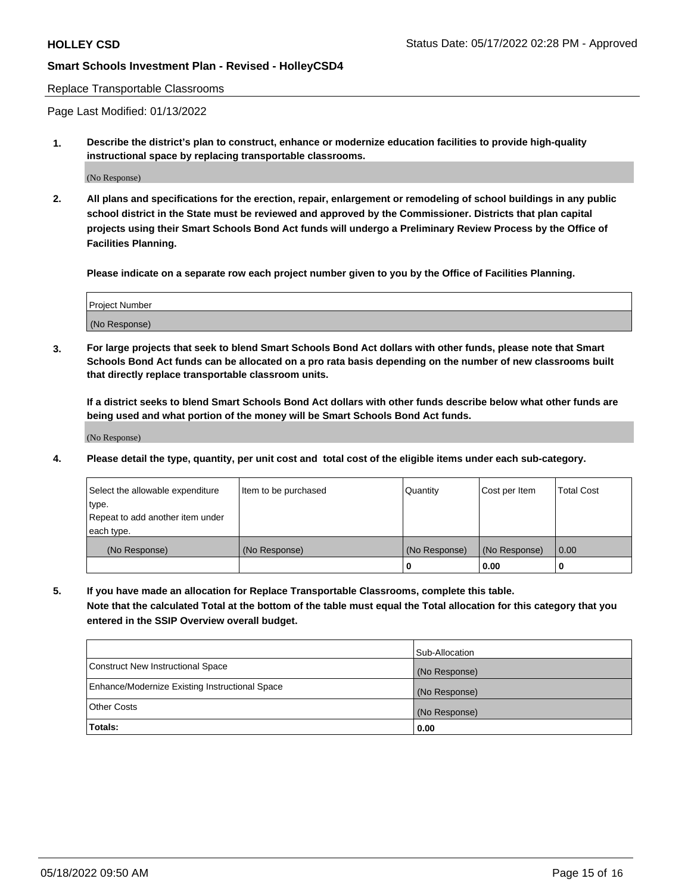#### Replace Transportable Classrooms

Page Last Modified: 01/13/2022

**1. Describe the district's plan to construct, enhance or modernize education facilities to provide high-quality instructional space by replacing transportable classrooms.**

(No Response)

**2. All plans and specifications for the erection, repair, enlargement or remodeling of school buildings in any public school district in the State must be reviewed and approved by the Commissioner. Districts that plan capital projects using their Smart Schools Bond Act funds will undergo a Preliminary Review Process by the Office of Facilities Planning.**

**Please indicate on a separate row each project number given to you by the Office of Facilities Planning.**

| <b>Project Number</b> |  |
|-----------------------|--|
| (No Response)         |  |

**3. For large projects that seek to blend Smart Schools Bond Act dollars with other funds, please note that Smart Schools Bond Act funds can be allocated on a pro rata basis depending on the number of new classrooms built that directly replace transportable classroom units.**

**If a district seeks to blend Smart Schools Bond Act dollars with other funds describe below what other funds are being used and what portion of the money will be Smart Schools Bond Act funds.**

(No Response)

**4. Please detail the type, quantity, per unit cost and total cost of the eligible items under each sub-category.**

| Select the allowable expenditure | Item to be purchased | Quantity      | Cost per Item | <b>Total Cost</b> |
|----------------------------------|----------------------|---------------|---------------|-------------------|
| type.                            |                      |               |               |                   |
| Repeat to add another item under |                      |               |               |                   |
| each type.                       |                      |               |               |                   |
| (No Response)                    | (No Response)        | (No Response) | (No Response) | 0.00              |
|                                  |                      | U             | 0.00          |                   |

**5. If you have made an allocation for Replace Transportable Classrooms, complete this table.**

**Note that the calculated Total at the bottom of the table must equal the Total allocation for this category that you entered in the SSIP Overview overall budget.**

|                                                | Sub-Allocation |
|------------------------------------------------|----------------|
| Construct New Instructional Space              | (No Response)  |
| Enhance/Modernize Existing Instructional Space | (No Response)  |
| <b>Other Costs</b>                             | (No Response)  |
| Totals:                                        | 0.00           |